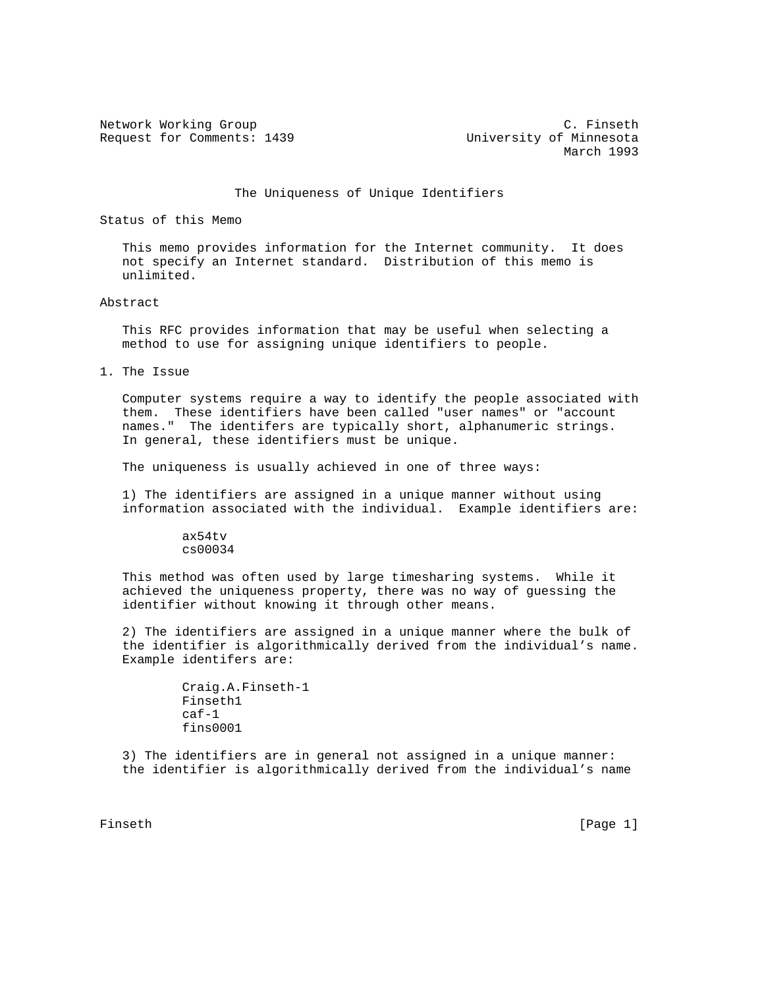Request for Comments: 1439 University of Minnesota

Network Working Group C. Finseth March 1993

The Uniqueness of Unique Identifiers

Status of this Memo

 This memo provides information for the Internet community. It does not specify an Internet standard. Distribution of this memo is unlimited.

Abstract

 This RFC provides information that may be useful when selecting a method to use for assigning unique identifiers to people.

1. The Issue

 Computer systems require a way to identify the people associated with them. These identifiers have been called "user names" or "account names." The identifers are typically short, alphanumeric strings. In general, these identifiers must be unique.

The uniqueness is usually achieved in one of three ways:

 1) The identifiers are assigned in a unique manner without using information associated with the individual. Example identifiers are:

> ax54tv cs00034

 This method was often used by large timesharing systems. While it achieved the uniqueness property, there was no way of guessing the identifier without knowing it through other means.

 2) The identifiers are assigned in a unique manner where the bulk of the identifier is algorithmically derived from the individual's name. Example identifers are:

```
 Craig.A.Finseth-1
Finseth1
caf-1
fins0001
```
 3) The identifiers are in general not assigned in a unique manner: the identifier is algorithmically derived from the individual's name

Finseth [Page 1]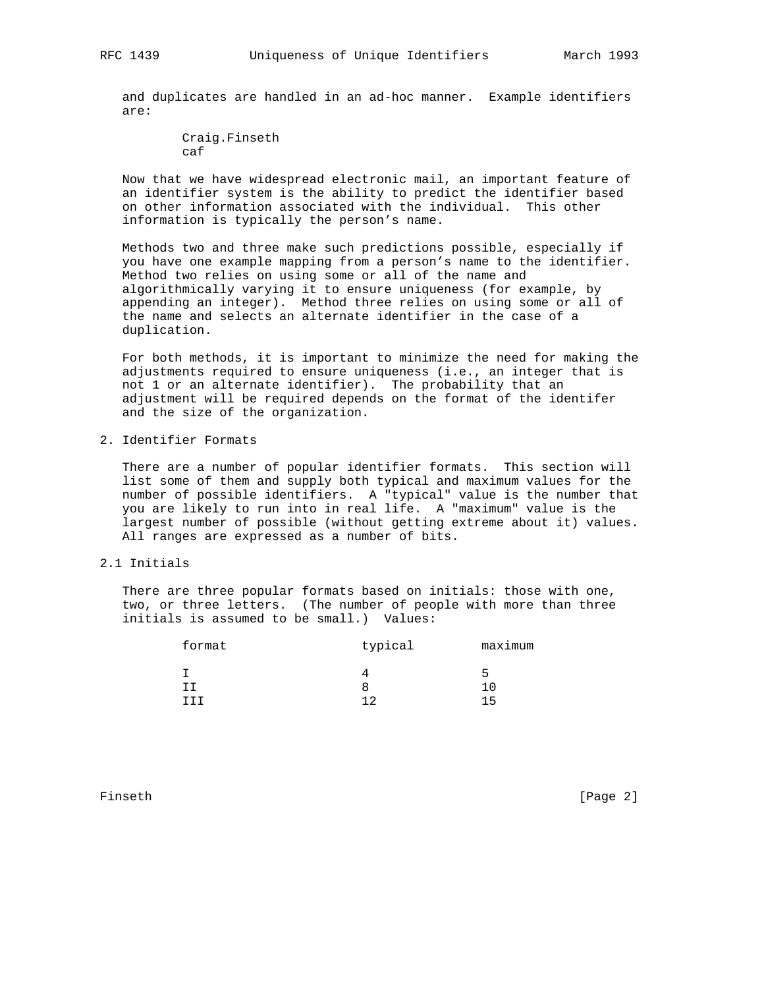and duplicates are handled in an ad-hoc manner. Example identifiers are:

> Craig.Finseth caf

 Now that we have widespread electronic mail, an important feature of an identifier system is the ability to predict the identifier based on other information associated with the individual. This other information is typically the person's name.

 Methods two and three make such predictions possible, especially if you have one example mapping from a person's name to the identifier. Method two relies on using some or all of the name and algorithmically varying it to ensure uniqueness (for example, by appending an integer). Method three relies on using some or all of the name and selects an alternate identifier in the case of a duplication.

 For both methods, it is important to minimize the need for making the adjustments required to ensure uniqueness (i.e., an integer that is not 1 or an alternate identifier). The probability that an adjustment will be required depends on the format of the identifer and the size of the organization.

2. Identifier Formats

 There are a number of popular identifier formats. This section will list some of them and supply both typical and maximum values for the number of possible identifiers. A "typical" value is the number that you are likely to run into in real life. A "maximum" value is the largest number of possible (without getting extreme about it) values. All ranges are expressed as a number of bits.

2.1 Initials

 There are three popular formats based on initials: those with one, two, or three letters. (The number of people with more than three initials is assumed to be small.) Values:

| format | typical | maximum |  |
|--------|---------|---------|--|
|        |         | ∽       |  |
|        |         |         |  |
|        | ר ו     | ᅵᄃ      |  |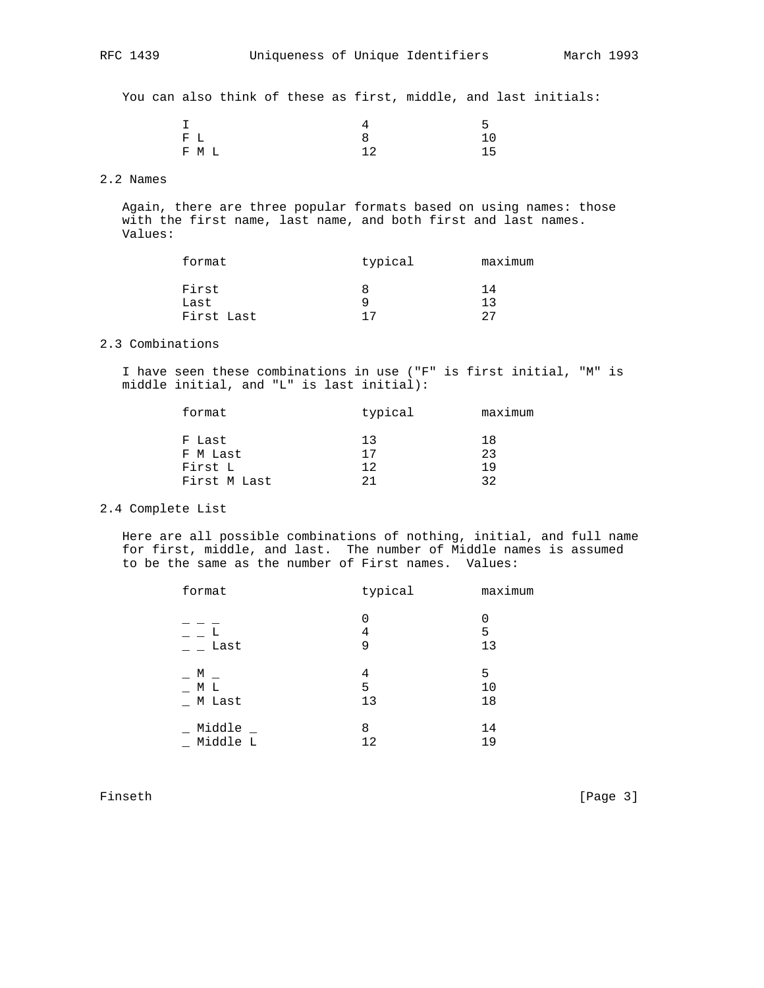You can also think of these as first, middle, and last initials:

|       |    | -  |
|-------|----|----|
| $F$ L |    | 10 |
| F M L | າາ | 15 |

## 2.2 Names

 Again, there are three popular formats based on using names: those with the first name, last name, and both first and last names. Values:

| typical | maximum |  |
|---------|---------|--|
|         | 14      |  |
|         | า ว     |  |
| 17      | クワ      |  |
|         |         |  |

## 2.3 Combinations

 I have seen these combinations in use ("F" is first initial, "M" is middle initial, and "L" is last initial):

| format       | typical | maximum |  |
|--------------|---------|---------|--|
| F Last       | 13      | 18      |  |
| F M Last     | 17      | 23      |  |
| First L      | 12      | 19      |  |
| First M Last | つ1      | つつ      |  |
|              |         |         |  |

## 2.4 Complete List

 Here are all possible combinations of nothing, initial, and full name for first, middle, and last. The number of Middle names is assumed to be the same as the number of First names. Values:

| format   | typical     | maximum      |
|----------|-------------|--------------|
| Last     | 0<br>4<br>9 | 0<br>5<br>13 |
| М        | 4           | 5            |
| МL       | 5           | 10           |
| M Last   | 13          | 18           |
| Middle _ | 8           | 14           |
| Middle L | 12          | 19           |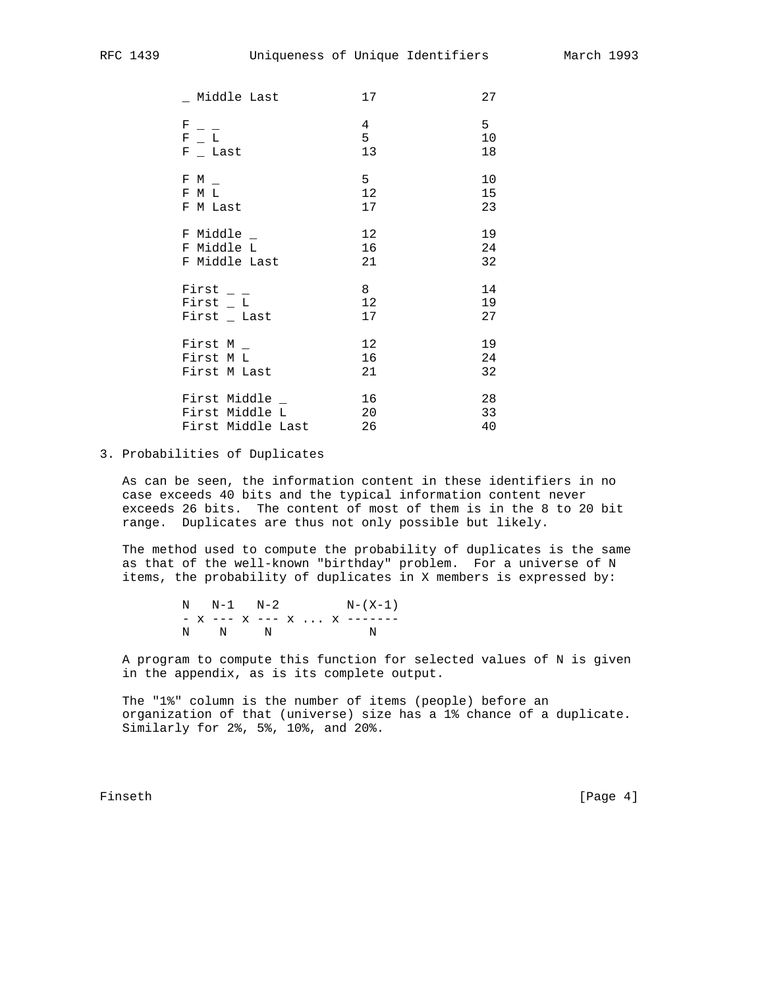| Middle Last       | 17              | 27 |
|-------------------|-----------------|----|
| F                 | 4               | 5  |
| $F = L$           | 5               | 10 |
| $F_{-}$ Last      | 13              | 18 |
| F M               | 5               | 10 |
| F M L             | 12              | 15 |
| F M Last          | 17              | 23 |
| $F$ Middle $_{-}$ | 12 <sup>°</sup> | 19 |
| F Middle L        | 16              | 24 |
| F Middle Last     | 21              | 32 |
| First $-$         | 8               | 14 |
| First $_L$ L      | 12              | 19 |
| $First$ Last      | 17              | 27 |
| First M $_{-}$    | 12 <sup>°</sup> | 19 |
| First M L         | 16              | 24 |
| First M Last      | 21              | 32 |
| First Middle _    | 16              | 28 |
| First Middle L    | 20              | 33 |
| First Middle Last | 26              | 40 |

## 3. Probabilities of Duplicates

 As can be seen, the information content in these identifiers in no case exceeds 40 bits and the typical information content never exceeds 26 bits. The content of most of them is in the 8 to 20 bit range. Duplicates are thus not only possible but likely.

 The method used to compute the probability of duplicates is the same as that of the well-known "birthday" problem. For a universe of N items, the probability of duplicates in X members is expressed by:

 $\text{N} \qquad \text{N-1} \qquad \text{N-2} \qquad \qquad \text{N-}\left(\,\text{X-1}\,\right)$ - x --- x --- x ... x -------<br>N N N N N N N N N

 A program to compute this function for selected values of N is given in the appendix, as is its complete output.

 The "1%" column is the number of items (people) before an organization of that (universe) size has a 1% chance of a duplicate. Similarly for 2%, 5%, 10%, and 20%.

Finseth [Page 4]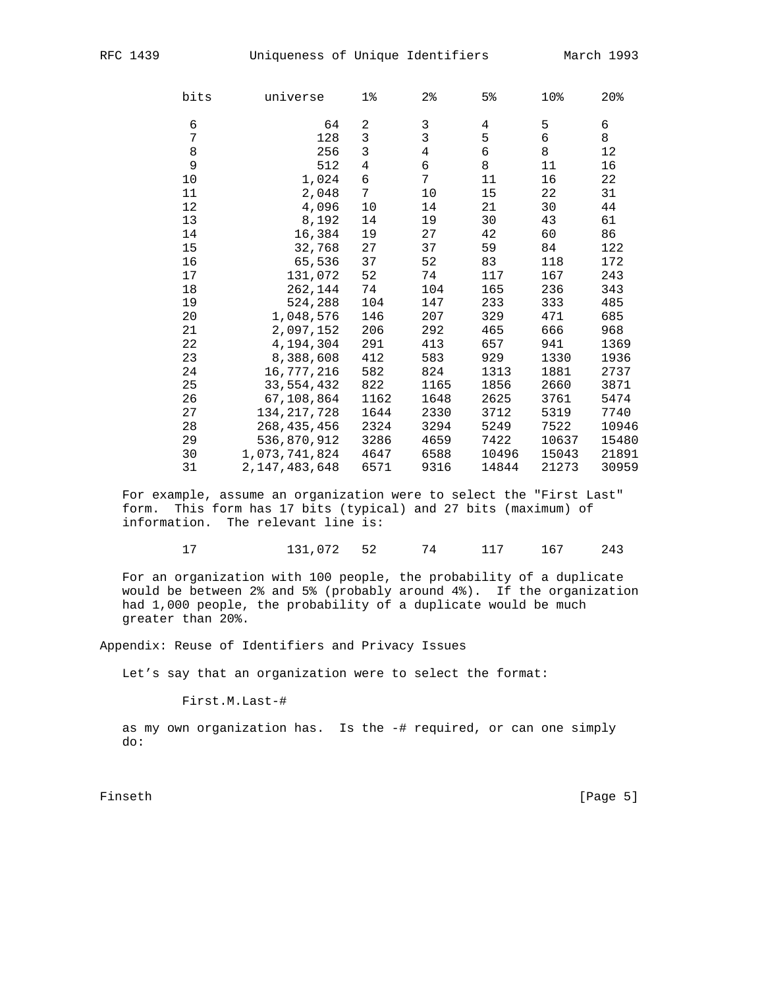| bits<br>universe |                  | $1\%$<br>2 <sub>8</sub> |                | 5 <sup>8</sup> | 10%        | 20%   |
|------------------|------------------|-------------------------|----------------|----------------|------------|-------|
| 6                | 64               | 2                       | $\mathsf{3}$   | 4              | 5          | 6     |
| 7                | 128              | $\mathfrak{Z}$          | $\overline{3}$ | 5              | $\epsilon$ | 8     |
| 8                | 256              | $\mathfrak{Z}$          | $\overline{4}$ | 6              | 8          | 12    |
| 9                | 512              | $\overline{4}$          | 6              | 8              | 11         | 16    |
| 10               | 1,024            | 6                       | 7              | 11             | 16         | 22    |
| 11               | 2,048            | 7 <sup>7</sup>          | 10             | 15             | 22         | 31    |
| 12               | 4,096            | 10                      | 14             | 21             | 30         | 44    |
| 13               | 8,192            | 14                      | 19             | 30             | 43         | 61    |
| 14               | 16,384           | 19                      | 27             | 42             | 60         | 86    |
| 15               | 32,768           | 27                      | 37             | 59             | 84         | 122   |
| 16               | 65,536           | 37                      | 52             | 83             | 118        | 172   |
| 17               | 131,072          | 52                      | 74             | 117            | 167        | 243   |
| 18               | 262,144          | 74                      | 104            | 165            | 236        | 343   |
| 19               | 524,288          | 104                     | 147            | 233            | 333        | 485   |
| 20               | 1,048,576        | 146                     | 207            | 329            | 471        | 685   |
| 21               | 2,097,152        | 206                     | 292            | 465            | 666        | 968   |
| 22               | 4,194,304        | 291                     | 413            | 657            | 941        | 1369  |
| 23               | 8,388,608        | 412                     | 583            | 929            | 1330       | 1936  |
| 24               | 16,777,216       | 582                     | 824            | 1313           | 1881       | 2737  |
| 25               | 33,554,432       | 822                     | 1165           | 1856           | 2660       | 3871  |
| 26               | 67,108,864       | 1162                    | 1648           | 2625           | 3761       | 5474  |
| 27               | 134, 217, 728    | 1644                    | 2330           | 3712           | 5319       | 7740  |
| 28               | 268, 435, 456    | 2324                    | 3294           | 5249           | 7522       | 10946 |
| 29               | 536,870,912      | 3286                    | 4659           | 7422           | 10637      | 15480 |
| 30               | 1,073,741,824    | 4647                    | 6588           | 10496          | 15043      | 21891 |
| 31               | 2, 147, 483, 648 | 6571                    | 9316           | 14844          | 21273      | 30959 |

 For example, assume an organization were to select the "First Last" form. This form has 17 bits (typical) and 27 bits (maximum) of information. The relevant line is:

17 131,072 52 74 117 167 243

 For an organization with 100 people, the probability of a duplicate would be between 2% and 5% (probably around 4%). If the organization had 1,000 people, the probability of a duplicate would be much greater than 20%.

Appendix: Reuse of Identifiers and Privacy Issues

Let's say that an organization were to select the format:

First.M.Last-#

 as my own organization has. Is the -# required, or can one simply do:

Finseth [Page 5]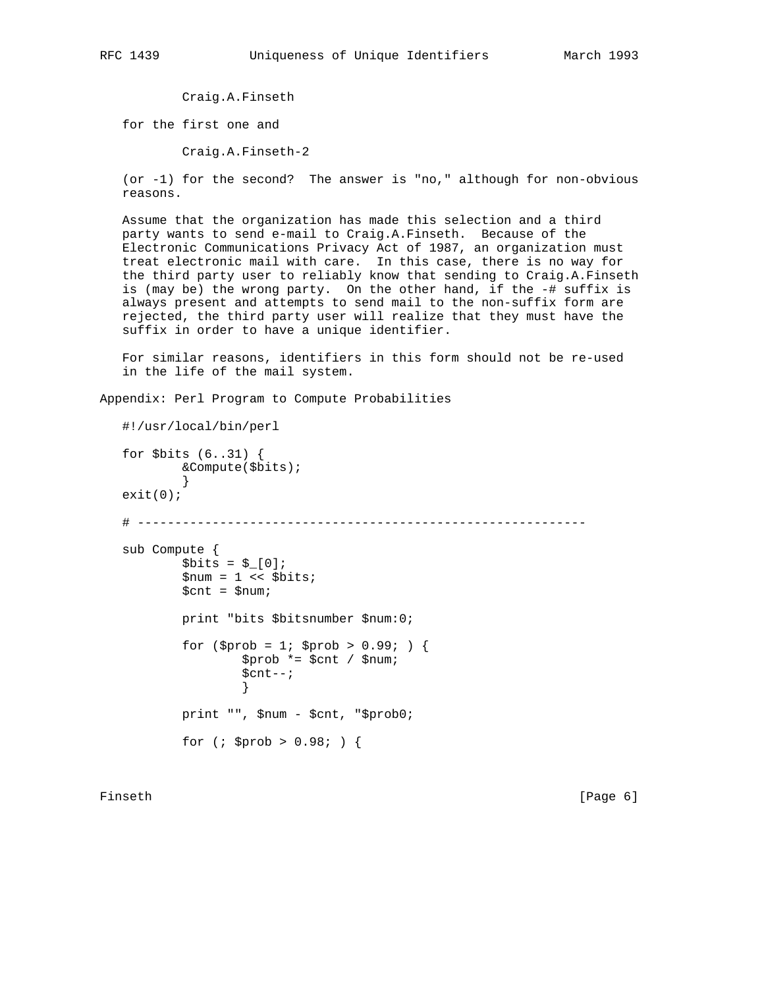Craig.A.Finseth

for the first one and

Craig.A.Finseth-2

 (or -1) for the second? The answer is "no," although for non-obvious reasons.

 Assume that the organization has made this selection and a third party wants to send e-mail to Craig.A.Finseth. Because of the Electronic Communications Privacy Act of 1987, an organization must treat electronic mail with care. In this case, there is no way for the third party user to reliably know that sending to Craig.A.Finseth is (may be) the wrong party. On the other hand, if the -# suffix is always present and attempts to send mail to the non-suffix form are rejected, the third party user will realize that they must have the suffix in order to have a unique identifier.

 For similar reasons, identifiers in this form should not be re-used in the life of the mail system.

Appendix: Perl Program to Compute Probabilities

```
 #!/usr/local/bin/perl
  for $bits (6..31) {
          &Compute($bits);
          }
 exit(0); # ------------------------------------------------------------
  sub Compute {
         $bits = $[0];$num = 1 << $bits; $cnt = $num;
          print "bits $bitsnumber $num:0;
         for ($prob = 1; $prob > 0.99; ) {
                 $prob * = $cnt / $num; $cnt--;
}
          print "", $num - $cnt, "$prob0;
         for (; $prob > 0.98; ) {
```
Finseth [Page 6]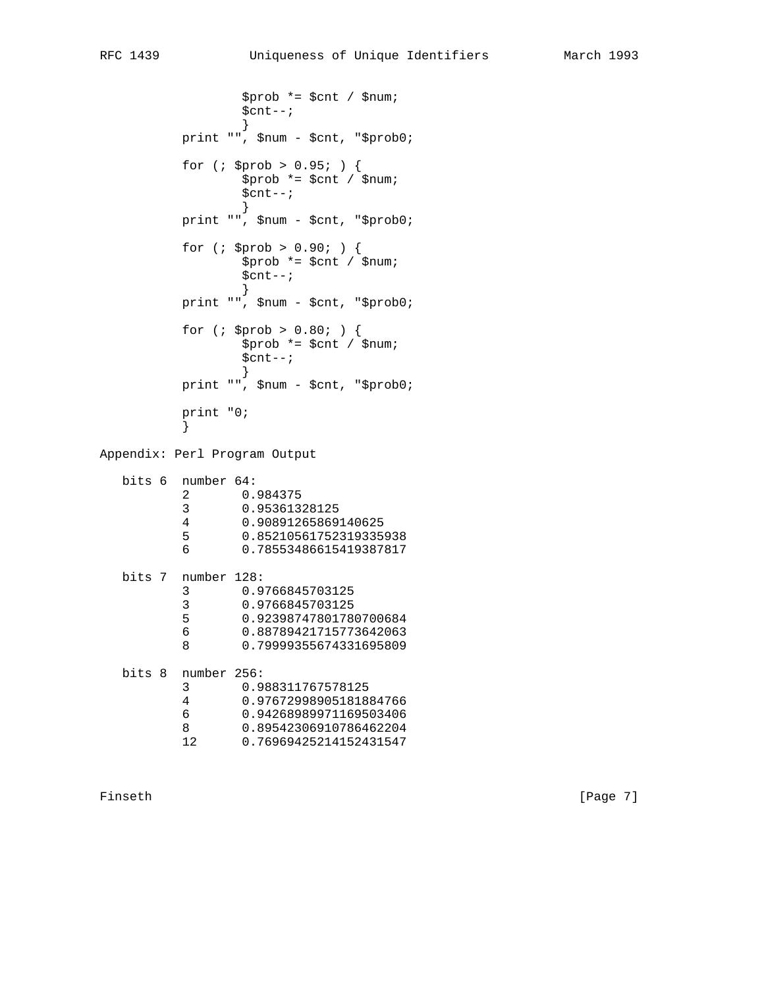\$prob \*= \$cnt / \$num;  $$cnt--;$  } print "", \$num - \$cnt, "\$prob0; for (; \$prob > 0.95; ) { \$prob \*= \$cnt / \$num; \$cnt--; } print "", \$num - \$cnt, "\$prob0; for (; \$prob > 0.90; ) { \$prob \*= \$cnt / \$num; \$cnt--; } print "", \$num - \$cnt, "\$prob0; for (; \$prob > 0.80; ) { \$prob \*= \$cnt / \$num;  $$cnt--;$  } print "", \$num - \$cnt, "\$prob0; print "0;<br>} } Appendix: Perl Program Output

| bits 6 | number 64:  |                        |
|--------|-------------|------------------------|
|        | 2           | 0.984375               |
|        | 3           | 0.95361328125          |
|        | 4           | 0.90891265869140625    |
|        | 5           | 0.85210561752319335938 |
|        | 6           | 0.78553486615419387817 |
| bits 7 | number 128: |                        |
|        | 3           | 0.9766845703125        |
|        | 3           | 0.9766845703125        |
|        | 5           | 0.92398747801780700684 |
|        | 6           | 0.88789421715773642063 |
|        | 8           | 0.79999355674331695809 |
| bits 8 | number 256: |                        |
|        | 3           | 0.988311767578125      |
|        | 4           | 0.97672998905181884766 |
|        | 6           | 0.94268989971169503406 |
|        | 8           | 0.89542306910786462204 |
|        | 12          | 0.76969425214152431547 |

Finseth [Page 7]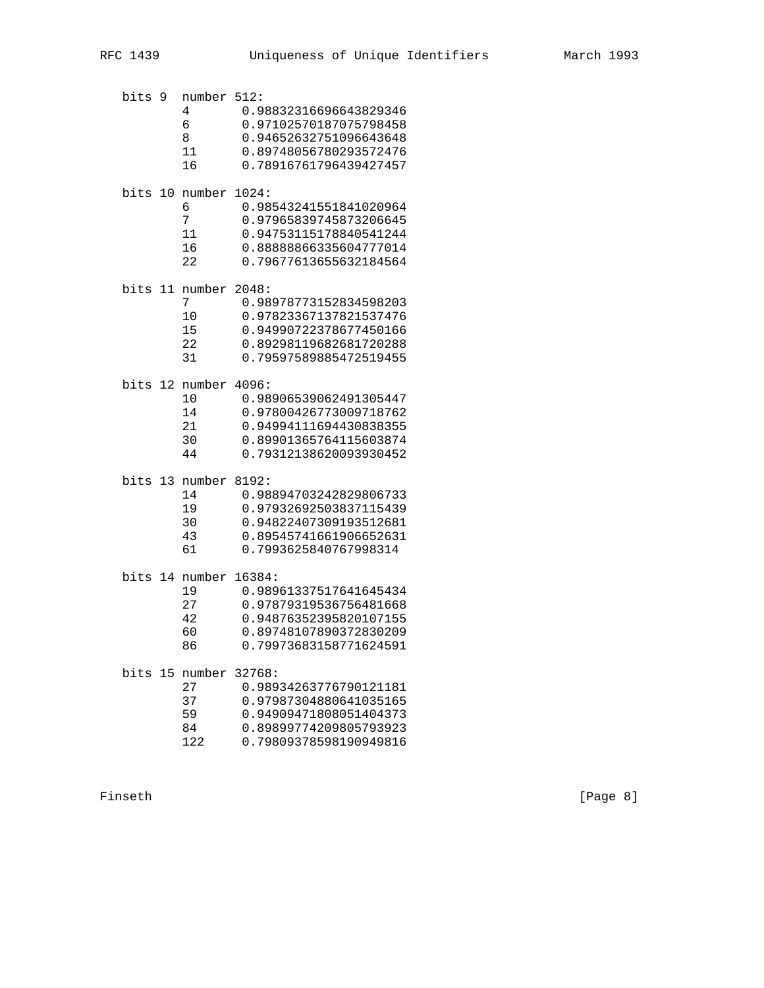| bits 9 | number 512:<br>4<br>6<br>8<br>11<br>16                         | 0.98832316696643829346<br>0.97102570187075798458<br>0.94652632751096643648<br>0.89748056780293572476<br>0.78916761796439427457           |
|--------|----------------------------------------------------------------|------------------------------------------------------------------------------------------------------------------------------------------|
|        | bits 10 number 1024:<br>6<br>7<br>11<br>16<br>22               | 0.98543241551841020964<br>0.97965839745873206645<br>0.94753115178840541244<br>0.88888866335604777014<br>0.79677613655632184564           |
|        | bits 11 number 2048:<br>7<br>10<br>15<br>22<br>31              | 0.98978773152834598203<br>0.97823367137821537476<br>0.94990722378677450166<br>0.89298119682681720288<br>0.79597589885472519455           |
|        | bits 12 number 4096:<br>1 <sub>0</sub><br>14<br>21<br>30<br>44 | 0.98906539062491305447<br>0.97800426773009718762<br>0.94994111694430838355<br>0.89901365764115603874<br>0.79312138620093930452           |
|        | bits 13 number<br>14<br>19<br>30<br>43<br>61                   | 8192:<br>0.98894703242829806733<br>0.97932692503837115439<br>0.94822407309193512681<br>0.89545741661906652631<br>0.7993625840767998314   |
|        | bits 14 number 16384:<br>19<br>27<br>42<br>60<br>86            | 0.98961337517641645434<br>0.97879319536756481668<br>0.94876352395820107155<br>0.89748107890372830209<br>0.79973683158771624591           |
|        | bits 15 number<br>27<br>37<br>59<br>84<br>122                  | 32768:<br>0.98934263776790121181<br>0.97987304880641035165<br>0.94909471808051404373<br>0.89899774209805793923<br>0.79809378598190949816 |

Finseth [Page 8]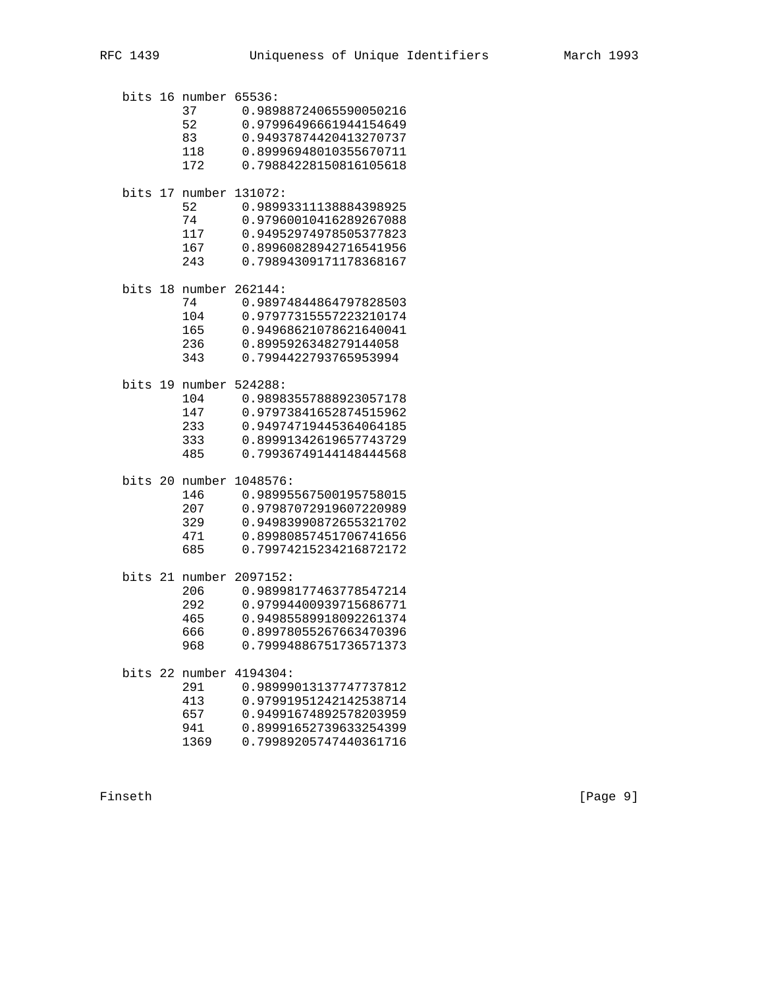| bits 16 | number         | 65536:                 |
|---------|----------------|------------------------|
|         | 37             | 0.98988724065590050216 |
|         | 52             | 0.97996496661944154649 |
|         | 83             | 0.94937874420413270737 |
|         | 118            | 0.89996948010355670711 |
|         | 172            | 0.79884228150816105618 |
|         | bits 17 number | 131072:                |
|         | 52             | 0.98993311138884398925 |
|         | 74             | 0.97960010416289267088 |
|         | 117            | 0.94952974978505377823 |
|         | 167            | 0.89960828942716541956 |
|         | 243            | 0.79894309171178368167 |
|         | bits 18 number | 262144:                |
|         | 74             | 0.98974844864797828503 |
|         | 104            | 0.97977315557223210174 |
|         | 165            | 0.94968621078621640041 |
|         | 236            | 0.8995926348279144058  |
|         | 343            | 0.7994422793765953994  |
|         | bits 19 number | 524288:                |
|         | 104            | 0.98983557888923057178 |
|         | 147            | 0.97973841652874515962 |
|         | 233            | 0.94974719445364064185 |
|         | 333            | 0.89991342619657743729 |
|         | 485            | 0.79936749144148444568 |
|         | bits 20 number | 1048576:               |
|         | 146            | 0.98995567500195758015 |
|         | 207            | 0.97987072919607220989 |
|         | 329            | 0.94983990872655321702 |
|         | 471            | 0.89980857451706741656 |
|         | 685            | 0.79974215234216872172 |
|         | bits 21 number | 2097152:               |
|         | 206            | 0.98998177463778547214 |
|         | 292            | 0.97994400939715686771 |
|         | 465            | 0.94985589918092261374 |
|         | 666            | 0.89978055267663470396 |
|         | 968            | 0.79994886751736571373 |
|         | bits 22 number | 4194304:               |
|         | 291            | 0.98999013137747737812 |
|         | 413            | 0.97991951242142538714 |
|         | 657            | 0.94991674892578203959 |
|         | 941            | 0.89991652739633254399 |
|         | 1369           | 0.79989205747440361716 |

Finseth [Page 9]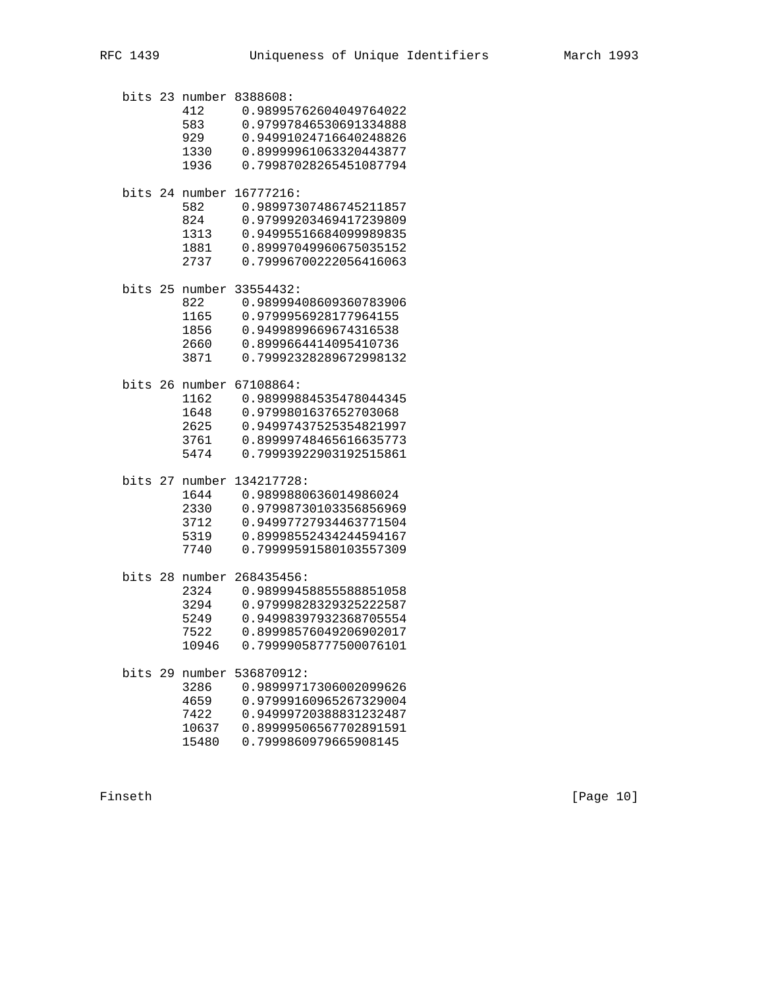bits 23 number 8388608: 412 0.98995762604049764022 583 0.97997846530691334888 929 0.94991024716640248826 1330 0.89999961063320443877 1936 0.79987028265451087794 bits 24 number 16777216: 582 0.98997307486745211857 824 0.97999203469417239809 1313 0.94995516684099989835 1881 0.89997049960675035152 2737 0.79996700222056416063 bits 25 number 33554432: 822 0.98999408609360783906 1165 0.9799956928177964155 1856 0.9499899669674316538 2660 0.8999664414095410736 3871 0.79992328289672998132 bits 26 number 67108864: 1162 0.98999884535478044345 1648 0.9799801637652703068 2625 0.94997437525354821997 3761 0.89999748465616635773 5474 0.79993922903192515861 bits 27 number 134217728: 1644 0.9899880636014986024 2330 0.97998730103356856969 3712 0.94997727934463771504 5319 0.89998552434244594167 7740 0.79999591580103557309 bits 28 number 268435456: 2324 0.98999458855588851058 3294 0.97999828329325222587 5249 0.94998397932368705554 7522 0.89998576049206902017 10946 0.79999058777500076101 bits 29 number 536870912: 3286 0.98999717306002099626 4659 0.97999160965267329004 7422 0.94999720388831232487 10637 0.89999506567702891591

15480 0.7999860979665908145

Finseth [Page 10]